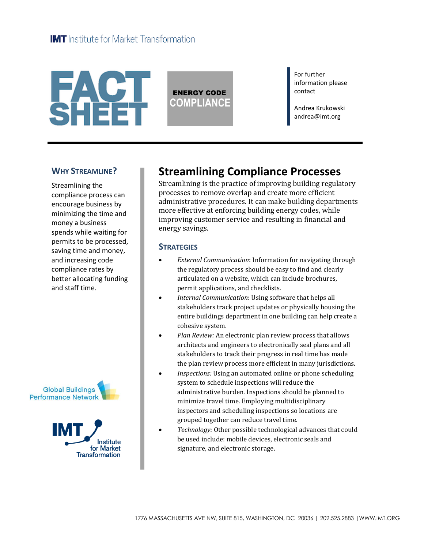# **FACT**<br>SHEET

ENERGY CODE **COMPLIANCE** For further information please contact

Andrea Krukowski andrea@imt.org

### **WHY STREAMLINE?**

Streamlining the compliance process can encourage business by minimizing the time and money a business spends while waiting for permits to be processed, saving time and money, and increasing code compliance rates by better allocating funding and staff time.





# **Streamlining Compliance Processes**

Streamlining is the practice of improving building regulatory processes to remove overlap and create more efficient administrative procedures. It can make building departments more effective at enforcing building energy codes, while improving customer service and resulting in financial and energy savings.

### **STRATEGIES**

- *External Communication*: Information for navigating through the regulatory process should be easy to find and clearly articulated on a website, which can include brochures, permit applications, and checklists.
- *Internal Communication*: Using software that helps all stakeholders track project updates or physically housing the entire buildings department in one building can help create a cohesive system.
- *Plan Review:* An electronic plan review process that allows architects and engineers to electronically seal plans and all stakeholders to track their progress in real time has made the plan review process more efficient in many jurisdictions.
- *Inspections:* Using an automated online or phone scheduling system to schedule inspections will reduce the administrative burden. Inspections should be planned to minimize travel time. Employing multidisciplinary inspectors and scheduling inspections so locations are grouped together can reduce travel time.
- *Technology*: Other possible technological advances that could be used include: mobile devices, electronic seals and signature, and electronic storage.